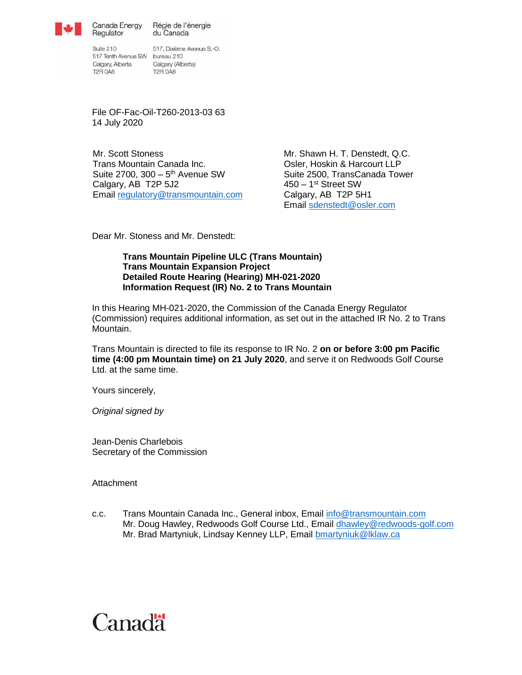

Canada Energy Régie de l'énergie du Canada

Suite 210 517 Tenth Avenue SW bureau 210 Calgary, Alberta Calgary (Alberta)<br>T2R 0A8 T2R 0A8

Regulator

517, Dixième Avenue S.-O.

File OF-Fac-Oil-T260-2013-03 63 14 July 2020

Mr. Scott Stoness Trans Mountain Canada Inc. Suite 2700, 300 - 5<sup>th</sup> Avenue SW Calgary, AB T2P 5J2 Email [regulatory@transmountain.com](mailto:regulatory@transmountain.com) Mr. Shawn H. T. Denstedt, Q.C. Osler, Hoskin & Harcourt LLP Suite 2500, TransCanada Tower 450 – 1 st Street SW Calgary, AB T2P 5H1 Email [sdenstedt@osler.com](mailto:sdenstedt@osler.com)

Dear Mr. Stoness and Mr. Denstedt:

## **Trans Mountain Pipeline ULC (Trans Mountain) Trans Mountain Expansion Project Detailed Route Hearing (Hearing) MH-021-2020 Information Request (IR) No. 2 to Trans Mountain**

In this Hearing MH-021-2020, the Commission of the Canada Energy Regulator (Commission) requires additional information, as set out in the attached IR No. 2 to Trans Mountain.

Trans Mountain is directed to file its response to IR No. 2 **on or before 3:00 pm Pacific time (4:00 pm Mountain time) on 21 July 2020**, and serve it on Redwoods Golf Course Ltd. at the same time.

Yours sincerely,

*Original signed by*

Jean-Denis Charlebois Secretary of the Commission

**Attachment** 

c.c. Trans Mountain Canada Inc., General inbox, Email [info@transmountain.com](mailto:info@transmountain.com) Mr. Doug Hawley, Redwoods Golf Course Ltd., Email dhawley@redwoods-golf.com Mr. Brad Martyniuk, Lindsay Kenney LLP, Email bmartyniuk@lklaw.ca

# Canadä